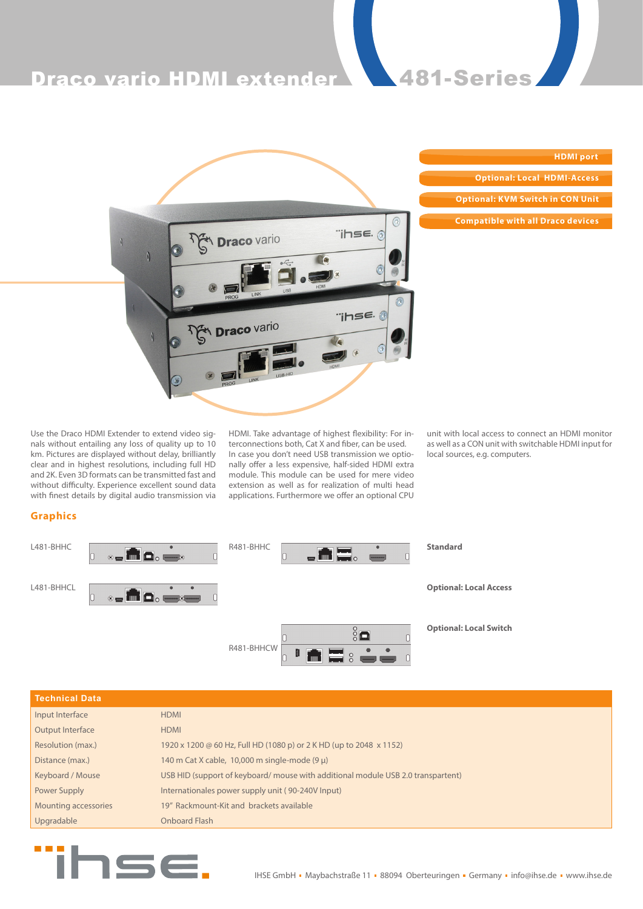

| <b>HDMI</b> port                         |
|------------------------------------------|
| <b>Optional: Local HDMI-Access</b>       |
| <b>Optional: KVM Switch in CON Unit</b>  |
|                                          |
| <b>Compatible with all Draco devices</b> |

Use the Draco HDMI Extender to extend video signals without entailing any loss of quality up to 10 km. Pictures are displayed without delay, brilliantly clear and in highest resolutions, including full HD and 2K. Even 3D formats can be transmitted fast and without difficulty. Experience excellent sound data with finest details by digital audio transmission via HDMI. Take advantage of highest flexibility: For interconnections both, Cat X and fiber, can be used. In case you don't need USB transmission we optionally offer a less expensive, half-sided HDMI extra module. This module can be used for mere video extension as well as for realization of multi head applications. Furthermore we offer an optional CPU unit with local access to connect an HDMI monitor as well as a CON unit with switchable HDMI input for local sources, e.g. computers.

# **Graphics**

| L481-BHHC  | $\bullet$ $\blacksquare$                                   | R481-BHHC<br>$\blacksquare$ and $\blacksquare$ | <b>Standard</b>               |
|------------|------------------------------------------------------------|------------------------------------------------|-------------------------------|
| L481-BHHCL | $\bullet$ - $\blacksquare$ $\Box$ $\bullet$ $\blacksquare$ |                                                | <b>Optional: Local Access</b> |
|            |                                                            | $\frac{8}{6}$<br>R481-BHHCW<br><b>INE</b> : SO | <b>Optional: Local Switch</b> |

| <b>HDMI</b>                                                                     |
|---------------------------------------------------------------------------------|
| <b>HDMI</b>                                                                     |
| 1920 x 1200 @ 60 Hz, Full HD (1080 p) or 2 K HD (up to 2048 x 1152)             |
| 140 m Cat X cable, 10,000 m single-mode $(9 \mu)$                               |
| USB HID (support of keyboard/mouse with additional module USB 2.0 transpartent) |
| Internationales power supply unit (90-240V Input)                               |
| 19" Rackmount-Kit and brackets available                                        |
| Onboard Flash                                                                   |
|                                                                                 |